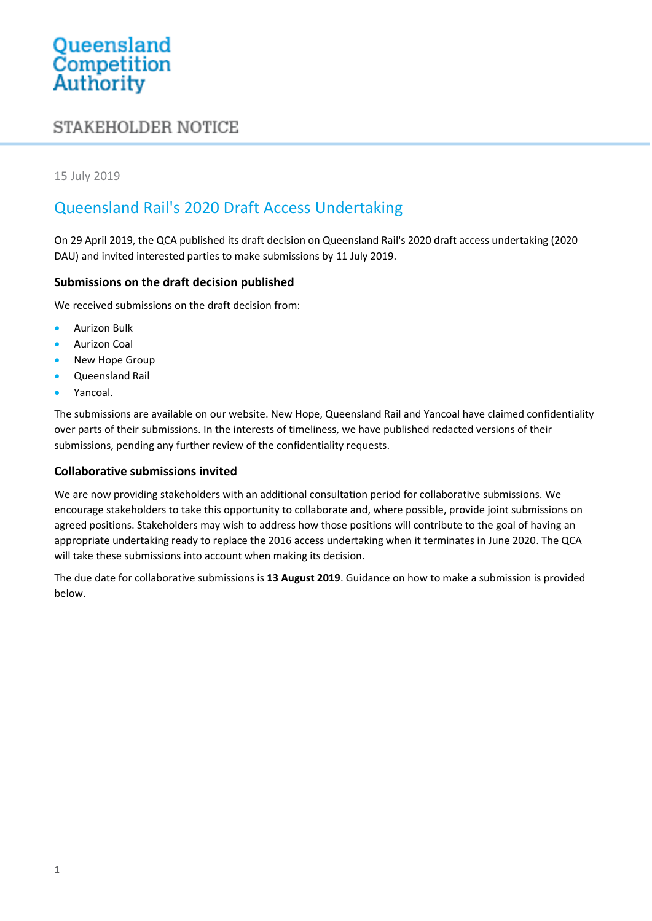# Queensland<br>Competition Authority

## **STAKEHOLDER NOTICE**

#### 15 July 2019

## Queensland Rail's 2020 Draft Access Undertaking

On 29 April 2019, the QCA published its draft decision on Queensland Rail's 2020 draft access undertaking (2020 DAU) and invited interested parties to make submissions by 11 July 2019.

#### **Submissions on the draft decision published**

We received submissions on the draft decision from:

- Aurizon Bulk
- Aurizon Coal
- New Hope Group
- Queensland Rail
- Yancoal.

The submissions are available on our website. New Hope, Queensland Rail and Yancoal have claimed confidentiality over parts of their submissions. In the interests of timeliness, we have published redacted versions of their submissions, pending any further review of the confidentiality requests.

#### **Collaborative submissions invited**

We are now providing stakeholders with an additional consultation period for collaborative submissions. We encourage stakeholders to take this opportunity to collaborate and, where possible, provide joint submissions on agreed positions. Stakeholders may wish to address how those positions will contribute to the goal of having an appropriate undertaking ready to replace the 2016 access undertaking when it terminates in June 2020. The QCA will take these submissions into account when making its decision.

The due date for collaborative submissions is **13 August 2019**. Guidance on how to make a submission is provided below.